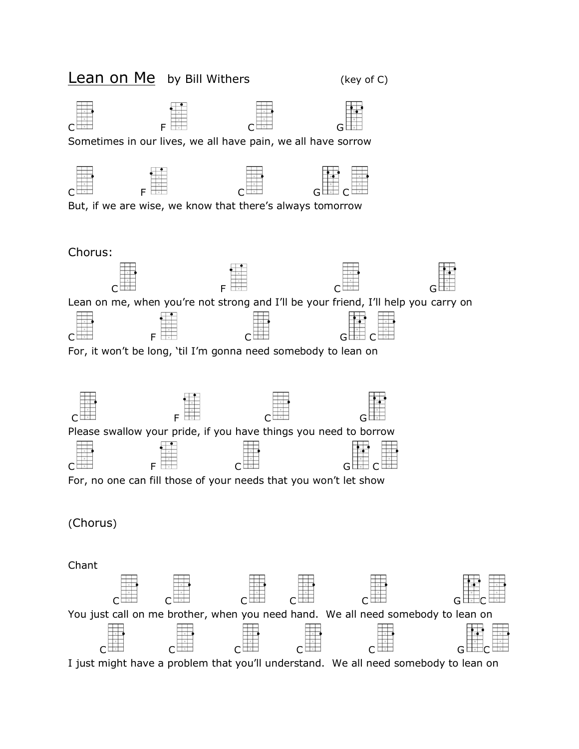

I just might have a problem that you'll understand. We all need somebody to lean on